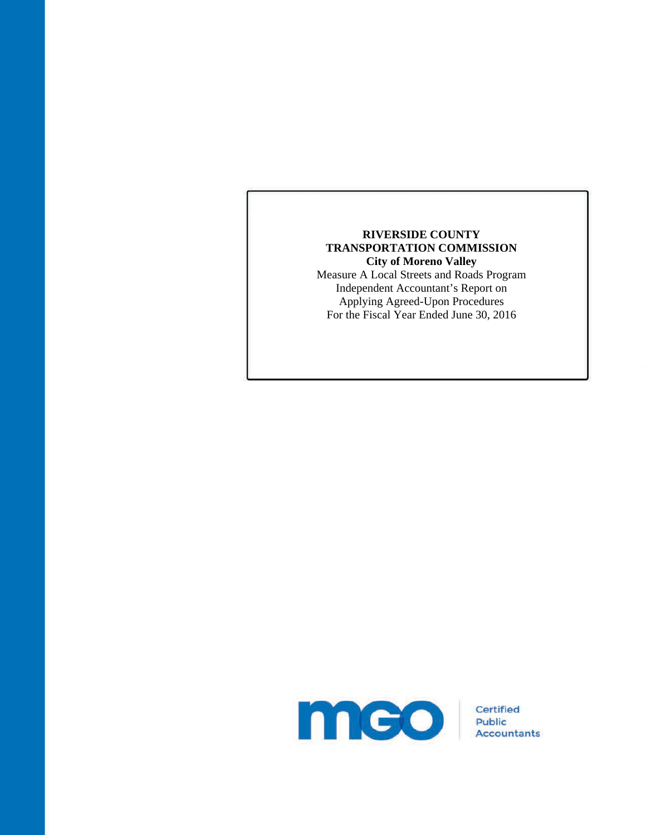## **RIVERSIDE COUNTY TRANSPORTATION COMMISSION City of Moreno Valley**

Measure A Local Streets and Roads Program Independent Accountant's Report on Applying Agreed-Upon Procedures For the Fiscal Year Ended June 30, 2016

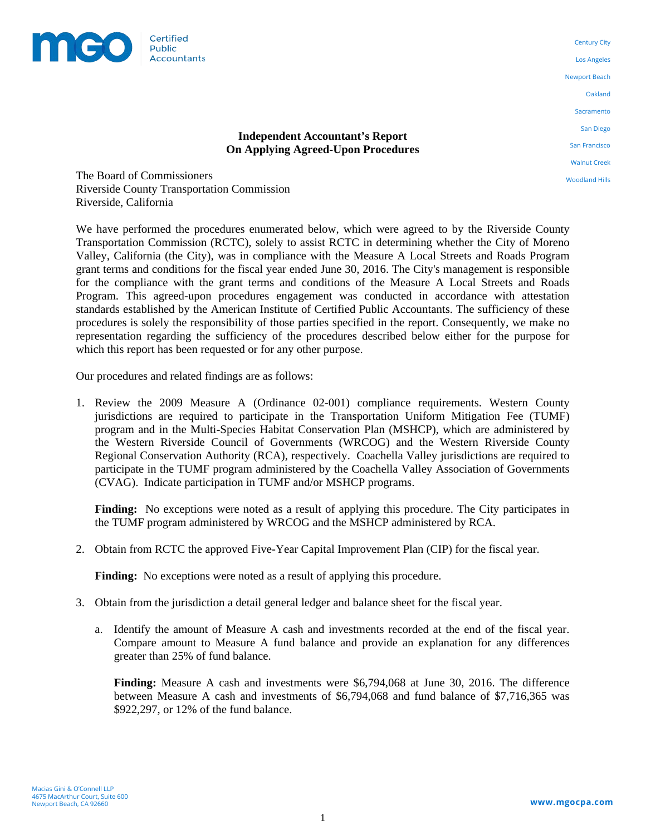

**Independent Accountant's Report On Applying Agreed-Upon Procedures** 

Century City Los Angeles Newport Beach Oakland Sacramento San Diego San Francisco Walnut Creek

Woodland Hills

The Board of Commissioners Riverside County Transportation Commission Riverside, California

We have performed the procedures enumerated below, which were agreed to by the Riverside County Transportation Commission (RCTC), solely to assist RCTC in determining whether the City of Moreno Valley, California (the City), was in compliance with the Measure A Local Streets and Roads Program grant terms and conditions for the fiscal year ended June 30, 2016. The City's management is responsible for the compliance with the grant terms and conditions of the Measure A Local Streets and Roads Program. This agreed-upon procedures engagement was conducted in accordance with attestation standards established by the American Institute of Certified Public Accountants. The sufficiency of these procedures is solely the responsibility of those parties specified in the report. Consequently, we make no representation regarding the sufficiency of the procedures described below either for the purpose for which this report has been requested or for any other purpose.

Our procedures and related findings are as follows:

1. Review the 2009 Measure A (Ordinance 02-001) compliance requirements. Western County jurisdictions are required to participate in the Transportation Uniform Mitigation Fee (TUMF) program and in the Multi-Species Habitat Conservation Plan (MSHCP), which are administered by the Western Riverside Council of Governments (WRCOG) and the Western Riverside County Regional Conservation Authority (RCA), respectively. Coachella Valley jurisdictions are required to participate in the TUMF program administered by the Coachella Valley Association of Governments (CVAG). Indicate participation in TUMF and/or MSHCP programs.

**Finding:** No exceptions were noted as a result of applying this procedure. The City participates in the TUMF program administered by WRCOG and the MSHCP administered by RCA.

2. Obtain from RCTC the approved Five-Year Capital Improvement Plan (CIP) for the fiscal year.

**Finding:** No exceptions were noted as a result of applying this procedure.

- 3. Obtain from the jurisdiction a detail general ledger and balance sheet for the fiscal year.
	- a. Identify the amount of Measure A cash and investments recorded at the end of the fiscal year. Compare amount to Measure A fund balance and provide an explanation for any differences greater than 25% of fund balance.

**Finding:** Measure A cash and investments were \$6,794,068 at June 30, 2016. The difference between Measure A cash and investments of \$6,794,068 and fund balance of \$7,716,365 was \$922,297, or 12% of the fund balance.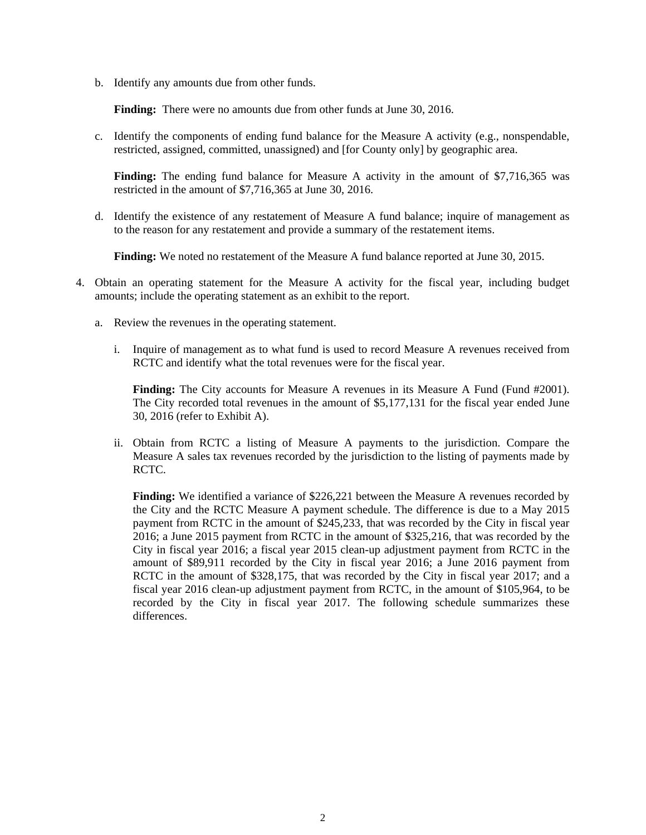b. Identify any amounts due from other funds.

**Finding:** There were no amounts due from other funds at June 30, 2016.

c. Identify the components of ending fund balance for the Measure A activity (e.g., nonspendable, restricted, assigned, committed, unassigned) and [for County only] by geographic area.

**Finding:** The ending fund balance for Measure A activity in the amount of \$7,716,365 was restricted in the amount of \$7,716,365 at June 30, 2016.

d. Identify the existence of any restatement of Measure A fund balance; inquire of management as to the reason for any restatement and provide a summary of the restatement items.

**Finding:** We noted no restatement of the Measure A fund balance reported at June 30, 2015.

- 4. Obtain an operating statement for the Measure A activity for the fiscal year, including budget amounts; include the operating statement as an exhibit to the report.
	- a. Review the revenues in the operating statement.
		- i. Inquire of management as to what fund is used to record Measure A revenues received from RCTC and identify what the total revenues were for the fiscal year.

**Finding:** The City accounts for Measure A revenues in its Measure A Fund (Fund #2001). The City recorded total revenues in the amount of \$5,177,131 for the fiscal year ended June 30, 2016 (refer to Exhibit A).

ii. Obtain from RCTC a listing of Measure A payments to the jurisdiction. Compare the Measure A sales tax revenues recorded by the jurisdiction to the listing of payments made by RCTC.

**Finding:** We identified a variance of \$226,221 between the Measure A revenues recorded by the City and the RCTC Measure A payment schedule. The difference is due to a May 2015 payment from RCTC in the amount of \$245,233, that was recorded by the City in fiscal year 2016; a June 2015 payment from RCTC in the amount of \$325,216, that was recorded by the City in fiscal year 2016; a fiscal year 2015 clean-up adjustment payment from RCTC in the amount of \$89,911 recorded by the City in fiscal year 2016; a June 2016 payment from RCTC in the amount of \$328,175, that was recorded by the City in fiscal year 2017; and a fiscal year 2016 clean-up adjustment payment from RCTC, in the amount of \$105,964, to be recorded by the City in fiscal year 2017. The following schedule summarizes these differences.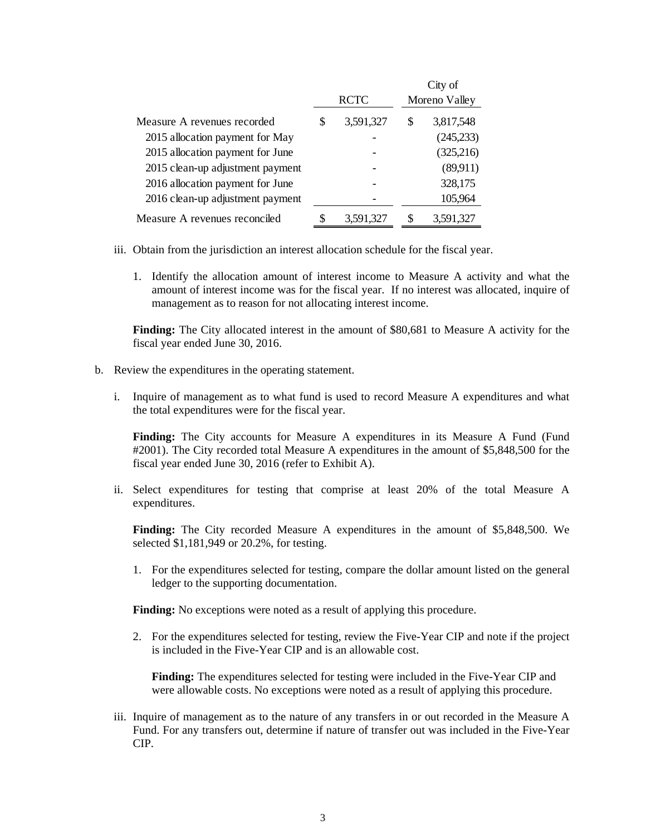|                                  |             |           |   | City of       |  |
|----------------------------------|-------------|-----------|---|---------------|--|
|                                  | <b>RCTC</b> |           |   | Moreno Valley |  |
| Measure A revenues recorded      | \$          | 3,591,327 | S | 3,817,548     |  |
| 2015 allocation payment for May  |             |           |   | (245, 233)    |  |
| 2015 allocation payment for June |             |           |   | (325,216)     |  |
| 2015 clean-up adjustment payment |             |           |   | (89,911)      |  |
| 2016 allocation payment for June |             |           |   | 328,175       |  |
| 2016 clean-up adjustment payment |             |           |   | 105,964       |  |
| Measure A revenues reconciled    |             | 3,591,327 |   | 3,591,327     |  |

- iii. Obtain from the jurisdiction an interest allocation schedule for the fiscal year.
	- 1. Identify the allocation amount of interest income to Measure A activity and what the amount of interest income was for the fiscal year. If no interest was allocated, inquire of management as to reason for not allocating interest income.

**Finding:** The City allocated interest in the amount of \$80,681 to Measure A activity for the fiscal year ended June 30, 2016.

- b. Review the expenditures in the operating statement.
	- i. Inquire of management as to what fund is used to record Measure A expenditures and what the total expenditures were for the fiscal year.

**Finding:** The City accounts for Measure A expenditures in its Measure A Fund (Fund #2001). The City recorded total Measure A expenditures in the amount of \$5,848,500 for the fiscal year ended June 30, 2016 (refer to Exhibit A).

ii. Select expenditures for testing that comprise at least 20% of the total Measure A expenditures.

**Finding:** The City recorded Measure A expenditures in the amount of \$5,848,500. We selected \$1,181,949 or 20.2%, for testing.

1. For the expenditures selected for testing, compare the dollar amount listed on the general ledger to the supporting documentation.

**Finding:** No exceptions were noted as a result of applying this procedure.

2. For the expenditures selected for testing, review the Five-Year CIP and note if the project is included in the Five-Year CIP and is an allowable cost.

**Finding:** The expenditures selected for testing were included in the Five-Year CIP and were allowable costs. No exceptions were noted as a result of applying this procedure.

iii. Inquire of management as to the nature of any transfers in or out recorded in the Measure A Fund. For any transfers out, determine if nature of transfer out was included in the Five-Year CIP.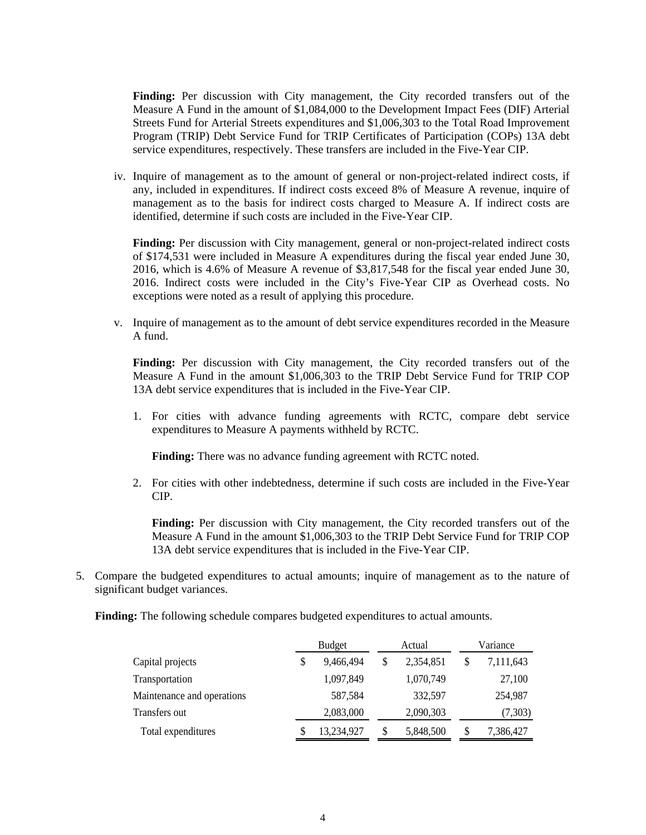**Finding:** Per discussion with City management, the City recorded transfers out of the Measure A Fund in the amount of \$1,084,000 to the Development Impact Fees (DIF) Arterial Streets Fund for Arterial Streets expenditures and \$1,006,303 to the Total Road Improvement Program (TRIP) Debt Service Fund for TRIP Certificates of Participation (COPs) 13A debt service expenditures, respectively. These transfers are included in the Five-Year CIP.

iv. Inquire of management as to the amount of general or non-project-related indirect costs, if any, included in expenditures. If indirect costs exceed 8% of Measure A revenue, inquire of management as to the basis for indirect costs charged to Measure A. If indirect costs are identified, determine if such costs are included in the Five-Year CIP.

**Finding:** Per discussion with City management, general or non-project-related indirect costs of \$174,531 were included in Measure A expenditures during the fiscal year ended June 30, 2016, which is 4.6% of Measure A revenue of \$3,817,548 for the fiscal year ended June 30, 2016. Indirect costs were included in the City's Five-Year CIP as Overhead costs. No exceptions were noted as a result of applying this procedure.

v. Inquire of management as to the amount of debt service expenditures recorded in the Measure A fund.

**Finding:** Per discussion with City management, the City recorded transfers out of the Measure A Fund in the amount \$1,006,303 to the TRIP Debt Service Fund for TRIP COP 13A debt service expenditures that is included in the Five-Year CIP.

1. For cities with advance funding agreements with RCTC, compare debt service expenditures to Measure A payments withheld by RCTC.

**Finding:** There was no advance funding agreement with RCTC noted.

2. For cities with other indebtedness, determine if such costs are included in the Five-Year CIP.

**Finding:** Per discussion with City management, the City recorded transfers out of the Measure A Fund in the amount \$1,006,303 to the TRIP Debt Service Fund for TRIP COP 13A debt service expenditures that is included in the Five-Year CIP.

5. Compare the budgeted expenditures to actual amounts; inquire of management as to the nature of significant budget variances.

**Finding:** The following schedule compares budgeted expenditures to actual amounts.

|                            |   | <b>Budget</b> | Actual |           | Variance        |  |
|----------------------------|---|---------------|--------|-----------|-----------------|--|
| Capital projects           | S | 9,466,494     | S      | 2,354,851 | \$<br>7,111,643 |  |
| Transportation             |   | 1,097,849     |        | 1,070,749 | 27,100          |  |
| Maintenance and operations |   | 587,584       |        | 332,597   | 254,987         |  |
| Transfers out              |   | 2,083,000     |        | 2,090,303 | (7,303)         |  |
| Total expenditures         |   | 13,234,927    | S      | 5,848,500 | \$<br>7,386,427 |  |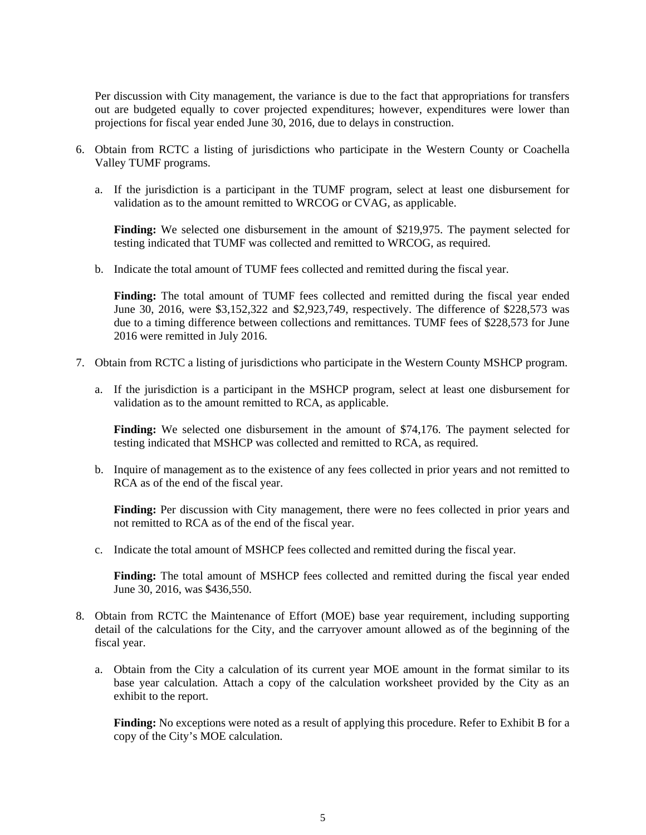Per discussion with City management, the variance is due to the fact that appropriations for transfers out are budgeted equally to cover projected expenditures; however, expenditures were lower than projections for fiscal year ended June 30, 2016, due to delays in construction.

- 6. Obtain from RCTC a listing of jurisdictions who participate in the Western County or Coachella Valley TUMF programs.
	- a. If the jurisdiction is a participant in the TUMF program, select at least one disbursement for validation as to the amount remitted to WRCOG or CVAG, as applicable.

**Finding:** We selected one disbursement in the amount of \$219,975. The payment selected for testing indicated that TUMF was collected and remitted to WRCOG, as required.

b. Indicate the total amount of TUMF fees collected and remitted during the fiscal year.

**Finding:** The total amount of TUMF fees collected and remitted during the fiscal year ended June 30, 2016, were \$3,152,322 and \$2,923,749, respectively. The difference of \$228,573 was due to a timing difference between collections and remittances. TUMF fees of \$228,573 for June 2016 were remitted in July 2016.

- 7. Obtain from RCTC a listing of jurisdictions who participate in the Western County MSHCP program.
	- a. If the jurisdiction is a participant in the MSHCP program, select at least one disbursement for validation as to the amount remitted to RCA, as applicable.

**Finding:** We selected one disbursement in the amount of \$74,176. The payment selected for testing indicated that MSHCP was collected and remitted to RCA, as required.

b. Inquire of management as to the existence of any fees collected in prior years and not remitted to RCA as of the end of the fiscal year.

**Finding:** Per discussion with City management, there were no fees collected in prior years and not remitted to RCA as of the end of the fiscal year.

c. Indicate the total amount of MSHCP fees collected and remitted during the fiscal year.

**Finding:** The total amount of MSHCP fees collected and remitted during the fiscal year ended June 30, 2016, was \$436,550.

- 8. Obtain from RCTC the Maintenance of Effort (MOE) base year requirement, including supporting detail of the calculations for the City, and the carryover amount allowed as of the beginning of the fiscal year.
	- a. Obtain from the City a calculation of its current year MOE amount in the format similar to its base year calculation. Attach a copy of the calculation worksheet provided by the City as an exhibit to the report.

**Finding:** No exceptions were noted as a result of applying this procedure. Refer to Exhibit B for a copy of the City's MOE calculation.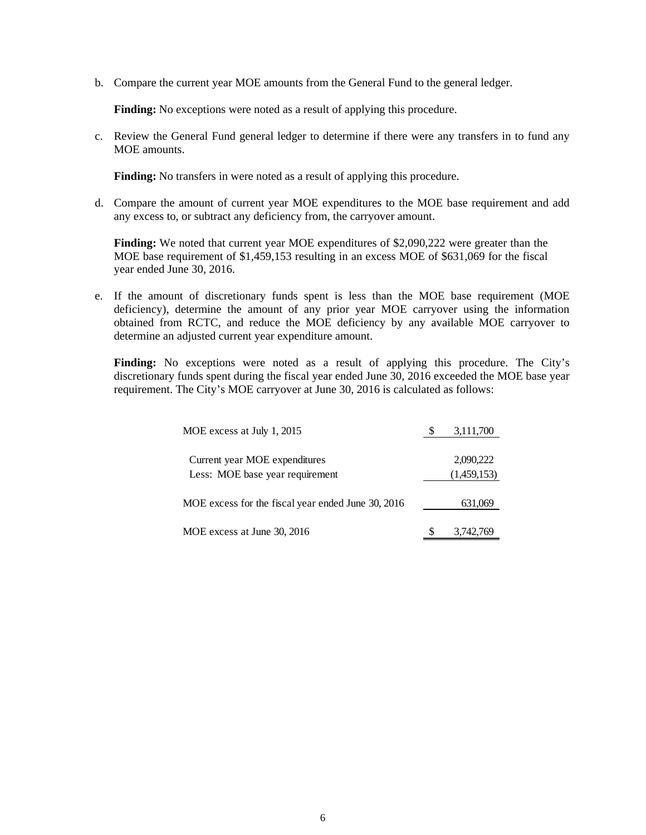b. Compare the current year MOE amounts from the General Fund to the general ledger.

**Finding:** No exceptions were noted as a result of applying this procedure.

c. Review the General Fund general ledger to determine if there were any transfers in to fund any MOE amounts.

**Finding:** No transfers in were noted as a result of applying this procedure.

d. Compare the amount of current year MOE expenditures to the MOE base requirement and add any excess to, or subtract any deficiency from, the carryover amount.

**Finding:** We noted that current year MOE expenditures of \$2,090,222 were greater than the MOE base requirement of \$1,459,153 resulting in an excess MOE of \$631,069 for the fiscal year ended June 30, 2016.

e. If the amount of discretionary funds spent is less than the MOE base requirement (MOE deficiency), determine the amount of any prior year MOE carryover using the information obtained from RCTC, and reduce the MOE deficiency by any available MOE carryover to determine an adjusted current year expenditure amount.

**Finding:** No exceptions were noted as a result of applying this procedure. The City's discretionary funds spent during the fiscal year ended June 30, 2016 exceeded the MOE base year requirement. The City's MOE carryover at June 30, 2016 is calculated as follows:

| MOE excess at July 1, 2015                                                            | 3,111,700              |
|---------------------------------------------------------------------------------------|------------------------|
| Current year MOE expenditures                                                         | 2,090,222              |
| Less: MOE base year requirement<br>MOE excess for the fiscal year ended June 30, 2016 | (1,459,153)<br>631,069 |
| MOE excess at June 30, 2016                                                           | 3,742,769              |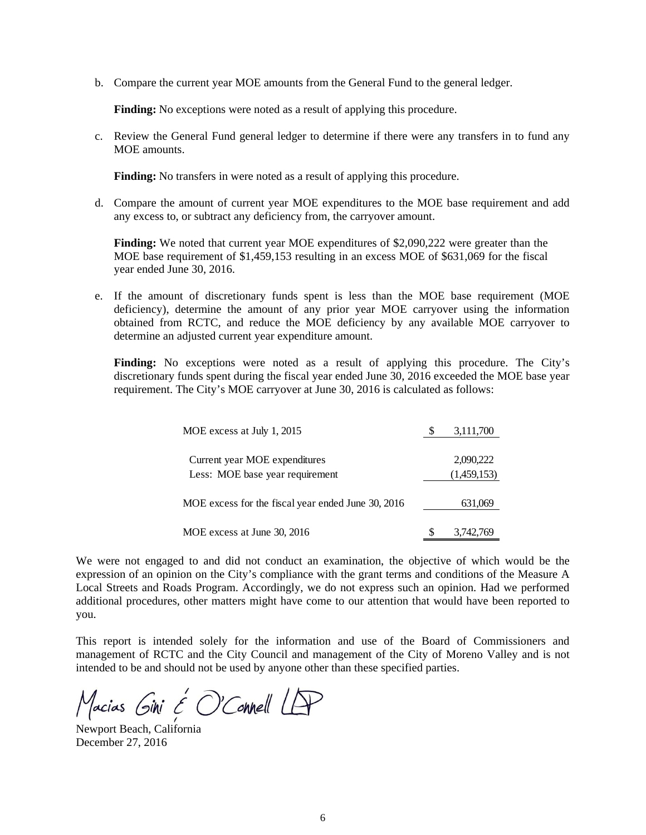b. Compare the current year MOE amounts from the General Fund to the general ledger.

**Finding:** No exceptions were noted as a result of applying this procedure.

c. Review the General Fund general ledger to determine if there were any transfers in to fund any MOE amounts.

**Finding:** No transfers in were noted as a result of applying this procedure.

d. Compare the amount of current year MOE expenditures to the MOE base requirement and add any excess to, or subtract any deficiency from, the carryover amount.

**Finding:** We noted that current year MOE expenditures of \$2,090,222 were greater than the MOE base requirement of \$1,459,153 resulting in an excess MOE of \$631,069 for the fiscal year ended June 30, 2016.

e. If the amount of discretionary funds spent is less than the MOE base requirement (MOE deficiency), determine the amount of any prior year MOE carryover using the information obtained from RCTC, and reduce the MOE deficiency by any available MOE carryover to determine an adjusted current year expenditure amount.

**Finding:** No exceptions were noted as a result of applying this procedure. The City's discretionary funds spent during the fiscal year ended June 30, 2016 exceeded the MOE base year requirement. The City's MOE carryover at June 30, 2016 is calculated as follows:

| MOE excess at July 1, 2015                                       | 3,111,700                |
|------------------------------------------------------------------|--------------------------|
| Current year MOE expenditures<br>Less: MOE base year requirement | 2,090,222<br>(1,459,153) |
| MOE excess for the fiscal year ended June 30, 2016               | 631,069                  |
| MOE excess at June 30, 2016                                      | 3,742,769                |

We were not engaged to and did not conduct an examination, the objective of which would be the expression of an opinion on the City's compliance with the grant terms and conditions of the Measure A Local Streets and Roads Program. Accordingly, we do not express such an opinion. Had we performed additional procedures, other matters might have come to our attention that would have been reported to you.

This report is intended solely for the information and use of the Board of Commissioners and management of RCTC and the City Council and management of the City of Moreno Valley and is not intended to be and should not be used by anyone other than these specified parties.

Macias Gini  $\epsilon$  O'Connell LP

Newport Beach, California December 27, 2016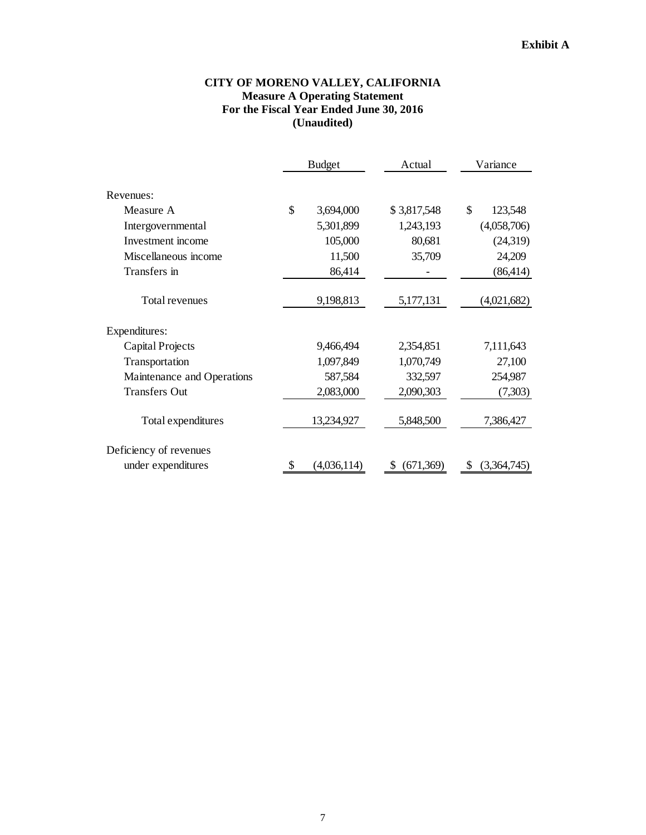## **CITY OF MORENO VALLEY, CALIFORNIA Measure A Operating Statement For the Fiscal Year Ended June 30, 2016 (Unaudited)**

|                            | <b>Budget</b> |             | Actual          | Variance      |  |
|----------------------------|---------------|-------------|-----------------|---------------|--|
| Revenues:                  |               |             |                 |               |  |
| Measure A                  | \$            | 3,694,000   | \$3,817,548     | \$<br>123,548 |  |
| Intergovernmental          |               | 5,301,899   | 1,243,193       | (4,058,706)   |  |
| Investment income          |               | 105,000     | 80,681          | (24,319)      |  |
| Miscellaneous income       |               | 11,500      | 35,709          | 24,209        |  |
| Transfers in               |               | 86,414      |                 | (86, 414)     |  |
| Total revenues             |               | 9,198,813   | 5,177,131       | (4,021,682)   |  |
| Expenditures:              |               |             |                 |               |  |
| Capital Projects           |               | 9,466,494   | 2,354,851       | 7,111,643     |  |
| Transportation             |               | 1,097,849   | 1,070,749       | 27,100        |  |
| Maintenance and Operations |               | 587,584     | 332,597         | 254,987       |  |
| <b>Transfers Out</b>       |               | 2,083,000   | 2,090,303       | (7,303)       |  |
| Total expenditures         |               | 13,234,927  | 5,848,500       | 7,386,427     |  |
| Deficiency of revenues     |               |             |                 |               |  |
| under expenditures         | \$            | (4,036,114) | (671, 369)<br>S | (3,364,745)   |  |